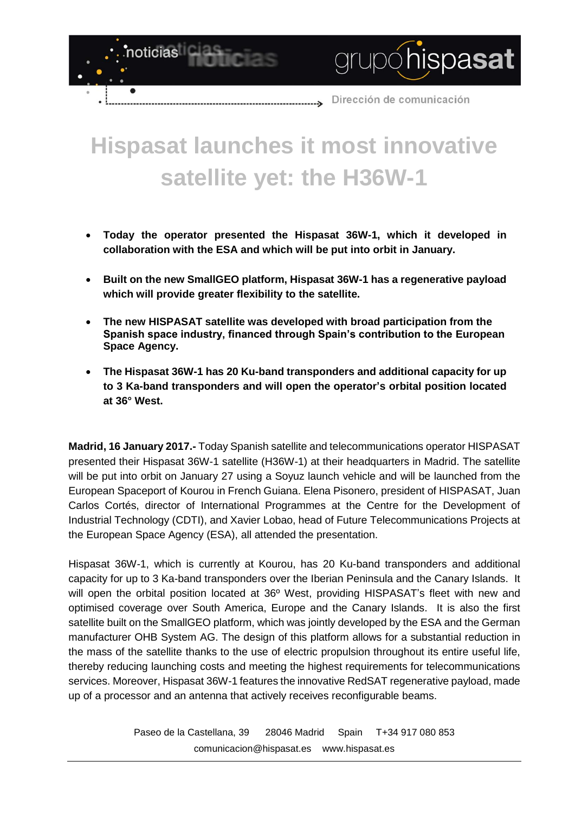Dirección de comunicación

grupóhispasat

# **Hispasat launches it most innovative satellite yet: the H36W-1**

د....

noticias

- **Today the operator presented the Hispasat 36W-1, which it developed in collaboration with the ESA and which will be put into orbit in January.**
- **Built on the new SmallGEO platform, Hispasat 36W-1 has a regenerative payload which will provide greater flexibility to the satellite.**
- **The new HISPASAT satellite was developed with broad participation from the Spanish space industry, financed through Spain's contribution to the European Space Agency.**
- **The Hispasat 36W-1 has 20 Ku-band transponders and additional capacity for up to 3 Ka-band transponders and will open the operator's orbital position located at 36° West.**

**Madrid, 16 January 2017.-** Today Spanish satellite and telecommunications operator HISPASAT presented their Hispasat 36W-1 satellite (H36W-1) at their headquarters in Madrid. The satellite will be put into orbit on January 27 using a Soyuz launch vehicle and will be launched from the European Spaceport of Kourou in French Guiana. Elena Pisonero, president of HISPASAT, Juan Carlos Cortés, director of International Programmes at the Centre for the Development of Industrial Technology (CDTI), and Xavier Lobao, head of Future Telecommunications Projects at the European Space Agency (ESA), all attended the presentation.

Hispasat 36W-1, which is currently at Kourou, has 20 Ku-band transponders and additional capacity for up to 3 Ka-band transponders over the Iberian Peninsula and the Canary Islands. It will open the orbital position located at 36° West, providing HISPASAT's fleet with new and optimised coverage over South America, Europe and the Canary Islands. It is also the first satellite built on the SmallGEO platform, which was jointly developed by the ESA and the German manufacturer OHB System AG. The design of this platform allows for a substantial reduction in the mass of the satellite thanks to the use of electric propulsion throughout its entire useful life, thereby reducing launching costs and meeting the highest requirements for telecommunications services. Moreover, Hispasat 36W-1 features the innovative RedSAT regenerative payload, made up of a processor and an antenna that actively receives reconfigurable beams.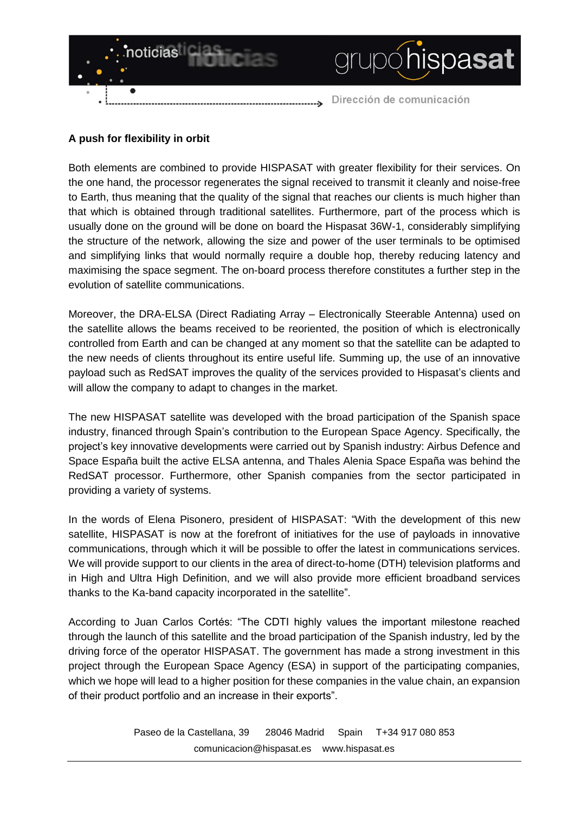

## **A push for flexibility in orbit**

Both elements are combined to provide HISPASAT with greater flexibility for their services. On the one hand, the processor regenerates the signal received to transmit it cleanly and noise-free to Earth, thus meaning that the quality of the signal that reaches our clients is much higher than that which is obtained through traditional satellites. Furthermore, part of the process which is usually done on the ground will be done on board the Hispasat 36W-1, considerably simplifying the structure of the network, allowing the size and power of the user terminals to be optimised and simplifying links that would normally require a double hop, thereby reducing latency and maximising the space segment. The on-board process therefore constitutes a further step in the evolution of satellite communications.

Moreover, the DRA-ELSA (Direct Radiating Array – Electronically Steerable Antenna) used on the satellite allows the beams received to be reoriented, the position of which is electronically controlled from Earth and can be changed at any moment so that the satellite can be adapted to the new needs of clients throughout its entire useful life. Summing up, the use of an innovative payload such as RedSAT improves the quality of the services provided to Hispasat's clients and will allow the company to adapt to changes in the market.

The new HISPASAT satellite was developed with the broad participation of the Spanish space industry, financed through Spain's contribution to the European Space Agency. Specifically, the project's key innovative developments were carried out by Spanish industry: Airbus Defence and Space España built the active ELSA antenna, and Thales Alenia Space España was behind the RedSAT processor. Furthermore, other Spanish companies from the sector participated in providing a variety of systems.

In the words of Elena Pisonero, president of HISPASAT: "With the development of this new satellite, HISPASAT is now at the forefront of initiatives for the use of payloads in innovative communications, through which it will be possible to offer the latest in communications services. We will provide support to our clients in the area of direct-to-home (DTH) television platforms and in High and Ultra High Definition, and we will also provide more efficient broadband services thanks to the Ka-band capacity incorporated in the satellite".

According to Juan Carlos Cortés: "The CDTI highly values the important milestone reached through the launch of this satellite and the broad participation of the Spanish industry, led by the driving force of the operator HISPASAT. The government has made a strong investment in this project through the European Space Agency (ESA) in support of the participating companies, which we hope will lead to a higher position for these companies in the value chain, an expansion of their product portfolio and an increase in their exports".

> Paseo de la Castellana, 39 28046 Madrid Spain T+34 917 080 853 [comunicacion@hispasat.es](mailto:comunicacion@hispasat.es) www.hispasat.es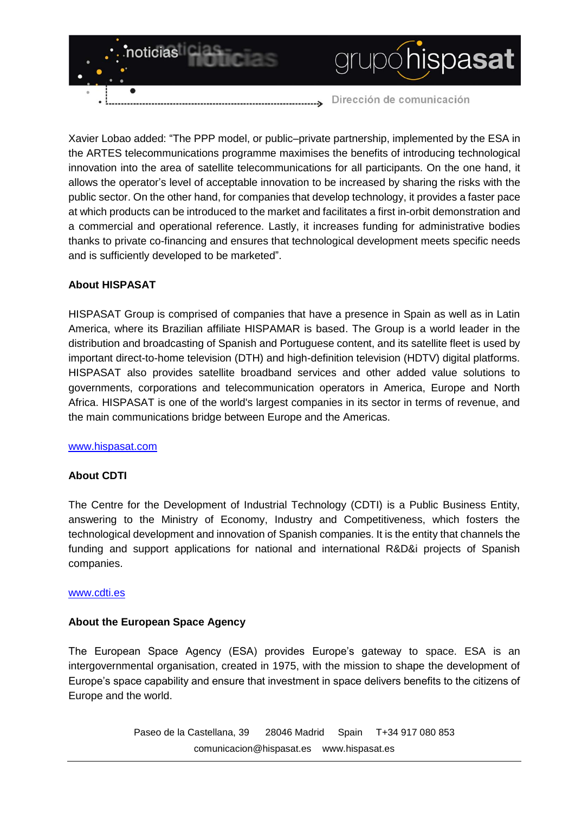

Xavier Lobao added: "The PPP model, or public–private partnership, implemented by the ESA in the ARTES telecommunications programme maximises the benefits of introducing technological innovation into the area of satellite telecommunications for all participants. On the one hand, it allows the operator's level of acceptable innovation to be increased by sharing the risks with the public sector. On the other hand, for companies that develop technology, it provides a faster pace at which products can be introduced to the market and facilitates a first in-orbit demonstration and a commercial and operational reference. Lastly, it increases funding for administrative bodies thanks to private co-financing and ensures that technological development meets specific needs and is sufficiently developed to be marketed".

## **About HISPASAT**

HISPASAT Group is comprised of companies that have a presence in Spain as well as in Latin America, where its Brazilian affiliate HISPAMAR is based. The Group is a world leader in the distribution and broadcasting of Spanish and Portuguese content, and its satellite fleet is used by important direct-to-home television (DTH) and high-definition television (HDTV) digital platforms. HISPASAT also provides satellite broadband services and other added value solutions to governments, corporations and telecommunication operators in America, Europe and North Africa. HISPASAT is one of the world's largest companies in its sector in terms of revenue, and the main communications bridge between Europe and the Americas.

#### [www.hispasat.com](http://www.hispasat.com/)

## **About CDTI**

The Centre for the Development of Industrial Technology (CDTI) is a Public Business Entity, answering to the Ministry of Economy, Industry and Competitiveness, which fosters the technological development and innovation of Spanish companies. It is the entity that channels the funding and support applications for national and international R&D&i projects of Spanish companies.

#### [www.cdti.es](http://www.cdti.es/)

## **About the European Space Agency**

The European Space Agency (ESA) provides Europe's gateway to space. ESA is an intergovernmental organisation, created in 1975, with the mission to shape the development of Europe's space capability and ensure that investment in space delivers benefits to the citizens of Europe and the world.

> Paseo de la Castellana, 39 28046 Madrid Spain T+34 917 080 853 [comunicacion@hispasat.es](mailto:comunicacion@hispasat.es) www.hispasat.es